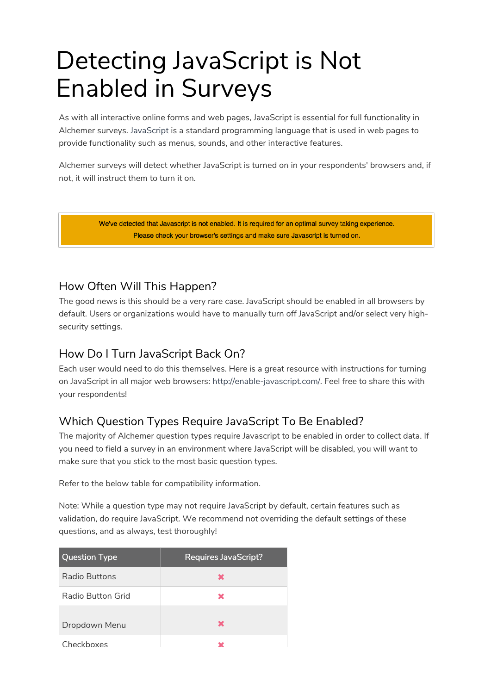## Detecting JavaScript is Not Enabled in Surveys

As with all interactive online forms and web pages, JavaScript is essential for full functionality in Alchemer surveys. JavaScript is a standard programming language that is used in web pages to provide functionality such as menus, sounds, and other interactive features.

Alchemer surveys will detect whether JavaScript is turned on in your respondents' browsers and, if not, it will instruct them to turn it on.

> We've detected that Javascript is not enabled. It is required for an optimal survey taking experience. Please check your browser's settings and make sure Javascript is turned on.

## How Often Will This Happen?

The good news is this should be a very rare case. JavaScript should be enabled in all browsers by default. Users or organizations would have to manually turn off JavaScript and/or select very highsecurity settings.

## How Do I Turn JavaScript Back On?

Each user would need to do this themselves. Here is a great resource with instructions for turning on JavaScript in all major web browsers: http://enable-javascript.com/. Feel free to share this with your respondents!

## Which Question Types Require JavaScript To Be Enabled?

The majority of Alchemer question types require Javascript to be enabled in order to collect data. If you need to field a survey in an environment where JavaScript will be disabled, you will want to make sure that you stick to the most basic question types.

Refer to the below table for compatibility information.

Note: While a question type may not require JavaScript by default, certain features such as validation, do require JavaScript. We recommend not overriding the default settings of these questions, and as always, test thoroughly!

| <b>Question Type</b> | <b>Requires JavaScript?</b> |
|----------------------|-----------------------------|
| Radio Buttons        | x                           |
| Radio Button Grid    | x                           |
| Dropdown Menu        | ×                           |
| Checkboxes           |                             |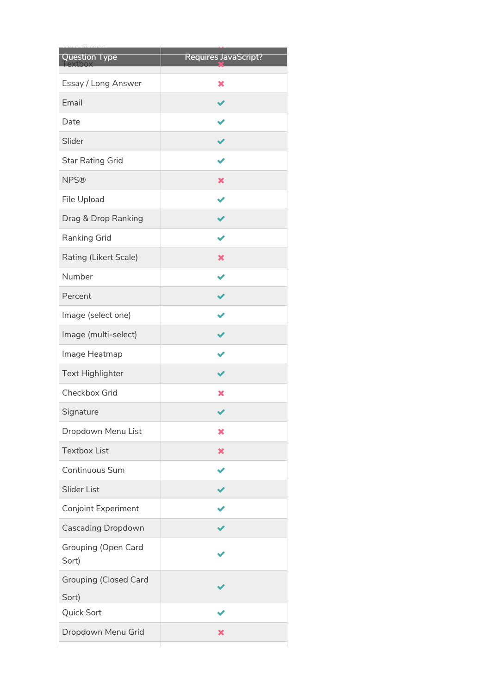| Question Type                | <b>Requires JavaScript?</b> |
|------------------------------|-----------------------------|
| Essay / Long Answer          | ×                           |
| Email                        |                             |
| Date                         |                             |
| Slider                       |                             |
| <b>Star Rating Grid</b>      |                             |
| <b>NPS®</b>                  | ×                           |
| File Upload                  |                             |
| Drag & Drop Ranking          |                             |
| Ranking Grid                 |                             |
| Rating (Likert Scale)        | ×                           |
| Number                       |                             |
| Percent                      |                             |
| Image (select one)           |                             |
| Image (multi-select)         |                             |
| Image Heatmap                |                             |
| <b>Text Highlighter</b>      |                             |
| Checkbox Grid                | ×                           |
| Signature                    |                             |
| Dropdown Menu List           | ×                           |
| <b>Textbox List</b>          | ×                           |
| Continuous Sum               |                             |
| Slider List                  |                             |
| <b>Conjoint Experiment</b>   |                             |
| <b>Cascading Dropdown</b>    |                             |
| Grouping (Open Card<br>Sort) |                             |
| <b>Grouping (Closed Card</b> |                             |
| Sort)                        |                             |
| Quick Sort                   |                             |
| Dropdown Menu Grid           | x                           |